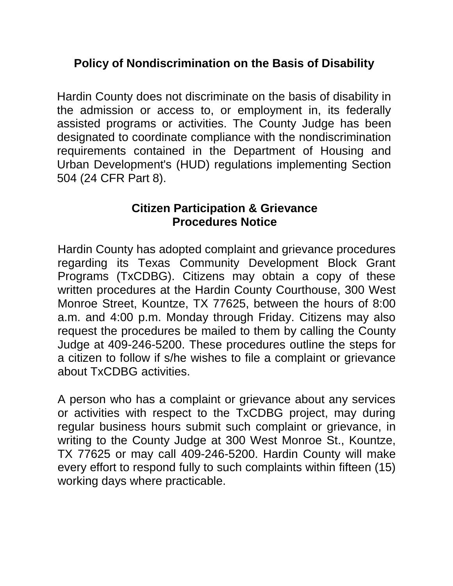## **Policy of Nondiscrimination on the Basis of Disability**

Hardin County does not discriminate on the basis of disability in the admission or access to, or employment in, its federally assisted programs or activities. The County Judge has been designated to coordinate compliance with the nondiscrimination requirements contained in the Department of Housing and Urban Development's (HUD) regulations implementing Section 504 (24 CFR Part 8).

## **Citizen Participation & Grievance Procedures Notice**

Hardin County has adopted complaint and grievance procedures regarding its Texas Community Development Block Grant Programs (TxCDBG). Citizens may obtain a copy of these written procedures at the Hardin County Courthouse, 300 West Monroe Street, Kountze, TX 77625, between the hours of 8:00 a.m. and 4:00 p.m. Monday through Friday. Citizens may also request the procedures be mailed to them by calling the County Judge at 409-246-5200. These procedures outline the steps for a citizen to follow if s/he wishes to file a complaint or grievance about TxCDBG activities.

A person who has a complaint or grievance about any services or activities with respect to the TxCDBG project, may during regular business hours submit such complaint or grievance, in writing to the County Judge at 300 West Monroe St., Kountze, TX 77625 or may call 409-246-5200. Hardin County will make every effort to respond fully to such complaints within fifteen (15) working days where practicable.